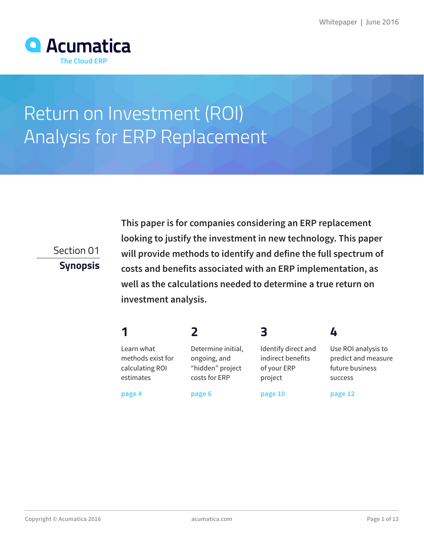

# Return on Investment (ROI) Analysis for ERP Replacement

Section 01

**Synopsis**

**This paper is for companies considering an ERP replacement looking to justify the investment in new technology. This paper will provide methods to identify and define the full spectrum of costs and benefits associated with an ERP implementation, as well as the calculations needed to determine a true return on investment analysis.**

| ◀ |  | _<br>$\sim$ | ,,<br>- |
|---|--|-------------|---------|
|---|--|-------------|---------|

Learn what methods exist for calculating ROI estimates

**page 4**

Determine initial, ongoing, and "hidden" project costs for ERP

**page 6**

Identify direct and indirect benefits of your ERP project

**page 10**

**page 12**

success

Use ROI analysis to predict and measure future business

**Copyright © Acumatica 2016 acumatica.com Page 1 of 13**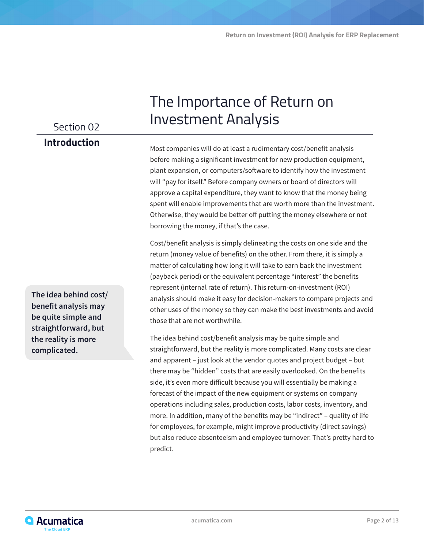## Section 02

## **Introduction**

**The idea behind cost/ benefit analysis may be quite simple and straightforward, but the reality is more complicated.** 

## The Importance of Return on Investment Analysis

Most companies will do at least a rudimentary cost/benefit analysis before making a significant investment for new production equipment, plant expansion, or computers/software to identify how the investment will "pay for itself." Before company owners or board of directors will approve a capital expenditure, they want to know that the money being spent will enable improvements that are worth more than the investment. Otherwise, they would be better off putting the money elsewhere or not borrowing the money, if that's the case.

Cost/benefit analysis is simply delineating the costs on one side and the return (money value of benefits) on the other. From there, it is simply a matter of calculating how long it will take to earn back the investment (payback period) or the equivalent percentage "interest" the benefits represent (internal rate of return). This return-on-investment (ROI) analysis should make it easy for decision-makers to compare projects and other uses of the money so they can make the best investments and avoid those that are not worthwhile.

The idea behind cost/benefit analysis may be quite simple and straightforward, but the reality is more complicated. Many costs are clear and apparent – just look at the vendor quotes and project budget – but there may be "hidden" costs that are easily overlooked. On the benefits side, it's even more difficult because you will essentially be making a forecast of the impact of the new equipment or systems on company operations including sales, production costs, labor costs, inventory, and more. In addition, many of the benefits may be "indirect" – quality of life for employees, for example, might improve productivity (direct savings) but also reduce absenteeism and employee turnover. That's pretty hard to predict.

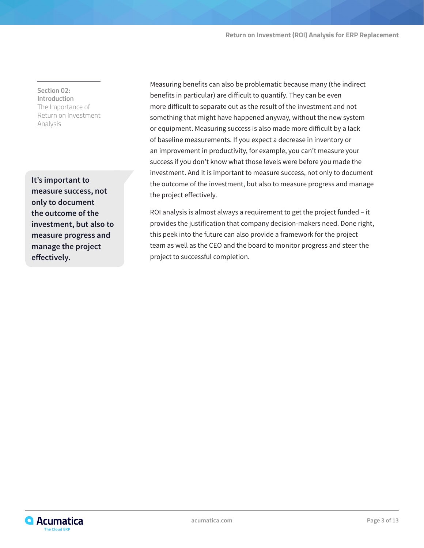**Section 02: Introduction** The Importance of Return on Investment Analysis

**It's important to measure success, not only to document the outcome of the investment, but also to measure progress and manage the project effectively.**

Measuring benefits can also be problematic because many (the indirect benefits in particular) are difficult to quantify. They can be even more difficult to separate out as the result of the investment and not something that might have happened anyway, without the new system or equipment. Measuring success is also made more difficult by a lack of baseline measurements. If you expect a decrease in inventory or an improvement in productivity, for example, you can't measure your success if you don't know what those levels were before you made the investment. And it is important to measure success, not only to document the outcome of the investment, but also to measure progress and manage the project effectively.

ROI analysis is almost always a requirement to get the project funded – it provides the justification that company decision-makers need. Done right, this peek into the future can also provide a framework for the project team as well as the CEO and the board to monitor progress and steer the project to successful completion.

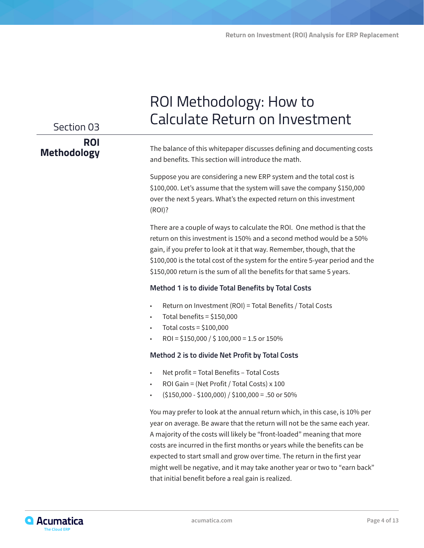| Section 03                       | ROI Methodology: How to<br><b>Calculate Return on Investment</b>                                                                                                                                                                                                                                                                                                                                                                                                                                                                   |  |  |
|----------------------------------|------------------------------------------------------------------------------------------------------------------------------------------------------------------------------------------------------------------------------------------------------------------------------------------------------------------------------------------------------------------------------------------------------------------------------------------------------------------------------------------------------------------------------------|--|--|
| <b>ROI</b><br><b>Methodology</b> | The balance of this whitepaper discusses defining and documenting costs<br>and benefits. This section will introduce the math.                                                                                                                                                                                                                                                                                                                                                                                                     |  |  |
|                                  | Suppose you are considering a new ERP system and the total cost is<br>\$100,000. Let's assume that the system will save the company \$150,000<br>over the next 5 years. What's the expected return on this investment<br>(ROI)?                                                                                                                                                                                                                                                                                                    |  |  |
|                                  | There are a couple of ways to calculate the ROI. One method is that the<br>return on this investment is 150% and a second method would be a 50%<br>gain, if you prefer to look at it that way. Remember, though, that the<br>\$100,000 is the total cost of the system for the entire 5-year period and the<br>\$150,000 return is the sum of all the benefits for that same 5 years.                                                                                                                                              |  |  |
|                                  | Method 1 is to divide Total Benefits by Total Costs                                                                                                                                                                                                                                                                                                                                                                                                                                                                                |  |  |
|                                  | Return on Investment (ROI) = Total Benefits / Total Costs<br>$\bullet$<br>Total benefits = $$150,000$<br>$\bullet$<br>Total costs = $$100,000$<br>ROI = $$150,000 / $100,000 = 1.5$ or 150%                                                                                                                                                                                                                                                                                                                                        |  |  |
|                                  | Method 2 is to divide Net Profit by Total Costs                                                                                                                                                                                                                                                                                                                                                                                                                                                                                    |  |  |
|                                  | Net profit = Total Benefits - Total Costs<br>$\bullet$<br>ROI Gain = (Net Profit / Total Costs) x 100<br>٠<br>$($150,000 - $100,000) / $100,000 = .50$ or 50%                                                                                                                                                                                                                                                                                                                                                                      |  |  |
|                                  | You may prefer to look at the annual return which, in this case, is 10% per<br>year on average. Be aware that the return will not be the same each year.<br>A majority of the costs will likely be "front-loaded" meaning that more<br>costs are incurred in the first months or years while the benefits can be<br>expected to start small and grow over time. The return in the first year<br>might well be negative, and it may take another year or two to "earn back"<br>that initial benefit before a real gain is realized. |  |  |

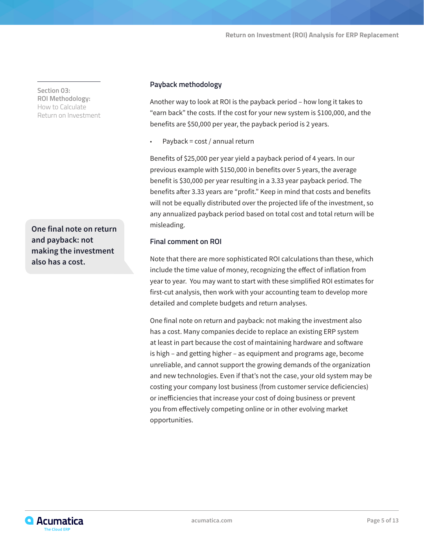**Section 03: ROI Methodology:**  How to Calculate Return on Investment

**One final note on return and payback: not making the investment also has a cost.**

#### **Payback methodology**

Another way to look at ROI is the payback period – how long it takes to "earn back" the costs. If the cost for your new system is \$100,000, and the benefits are \$50,000 per year, the payback period is 2 years.

• Payback = cost / annual return

Benefits of \$25,000 per year yield a payback period of 4 years. In our previous example with \$150,000 in benefits over 5 years, the average benefit is \$30,000 per year resulting in a 3.33 year payback period. The benefits after 3.33 years are "profit." Keep in mind that costs and benefits will not be equally distributed over the projected life of the investment, so any annualized payback period based on total cost and total return will be misleading.

#### **Final comment on ROI**

Note that there are more sophisticated ROI calculations than these, which include the time value of money, recognizing the effect of inflation from year to year. You may want to start with these simplified ROI estimates for first-cut analysis, then work with your accounting team to develop more detailed and complete budgets and return analyses.

One final note on return and payback: not making the investment also has a cost. Many companies decide to replace an existing ERP system at least in part because the cost of maintaining hardware and software is high – and getting higher – as equipment and programs age, become unreliable, and cannot support the growing demands of the organization and new technologies. Even if that's not the case, your old system may be costing your company lost business (from customer service deficiencies) or inefficiencies that increase your cost of doing business or prevent you from effectively competing online or in other evolving market opportunities.

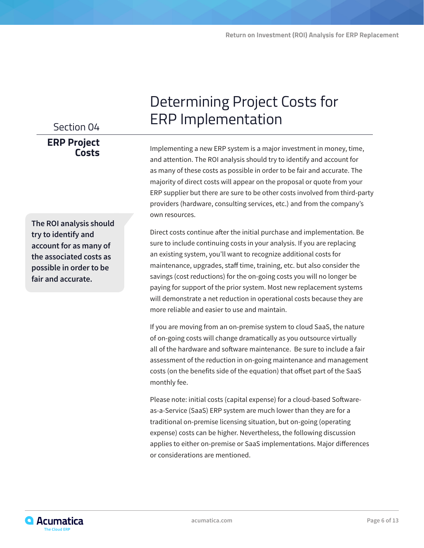## Section 04 **ERP Project Costs**

**The ROI analysis should try to identify and account for as many of the associated costs as possible in order to be fair and accurate.**

## Determining Project Costs for ERP Implementation

Implementing a new ERP system is a major investment in money, time, and attention. The ROI analysis should try to identify and account for as many of these costs as possible in order to be fair and accurate. The majority of direct costs will appear on the proposal or quote from your ERP supplier but there are sure to be other costs involved from third-party providers (hardware, consulting services, etc.) and from the company's own resources.

Direct costs continue after the initial purchase and implementation. Be sure to include continuing costs in your analysis. If you are replacing an existing system, you'll want to recognize additional costs for maintenance, upgrades, staff time, training, etc. but also consider the savings (cost reductions) for the on-going costs you will no longer be paying for support of the prior system. Most new replacement systems will demonstrate a net reduction in operational costs because they are more reliable and easier to use and maintain.

If you are moving from an on-premise system to cloud SaaS, the nature of on-going costs will change dramatically as you outsource virtually all of the hardware and software maintenance. Be sure to include a fair assessment of the reduction in on-going maintenance and management costs (on the benefits side of the equation) that offset part of the SaaS monthly fee.

Please note: initial costs (capital expense) for a cloud-based Softwareas-a-Service (SaaS) ERP system are much lower than they are for a traditional on-premise licensing situation, but on-going (operating expense) costs can be higher. Nevertheless, the following discussion applies to either on-premise or SaaS implementations. Major differences or considerations are mentioned.

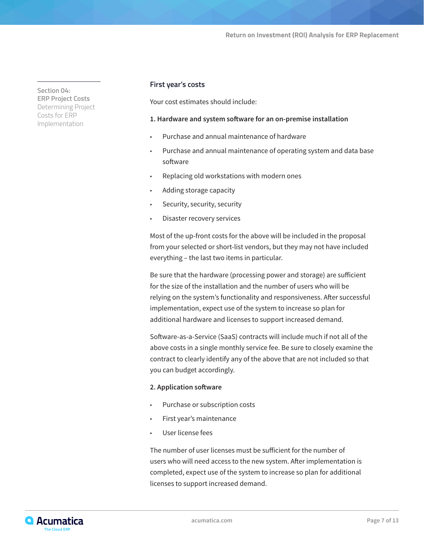**Section 04: ERP Project Costs** Determining Project Costs for ERP Implementation

#### **First year's costs**

Your cost estimates should include:

#### **1. Hardware and system software for an on-premise installation**

- Purchase and annual maintenance of hardware
- Purchase and annual maintenance of operating system and data base software
- Replacing old workstations with modern ones
- Adding storage capacity
- Security, security, security
- Disaster recovery services

Most of the up-front costs for the above will be included in the proposal from your selected or short-list vendors, but they may not have included everything – the last two items in particular.

Be sure that the hardware (processing power and storage) are sufficient for the size of the installation and the number of users who will be relying on the system's functionality and responsiveness. After successful implementation, expect use of the system to increase so plan for additional hardware and licenses to support increased demand.

Software-as-a-Service (SaaS) contracts will include much if not all of the above costs in a single monthly service fee. Be sure to closely examine the contract to clearly identify any of the above that are not included so that you can budget accordingly.

#### **2. Application software**

- Purchase or subscription costs
- First year's maintenance
- User license fees

The number of user licenses must be sufficient for the number of users who will need access to the new system. After implementation is completed, expect use of the system to increase so plan for additional licenses to support increased demand.

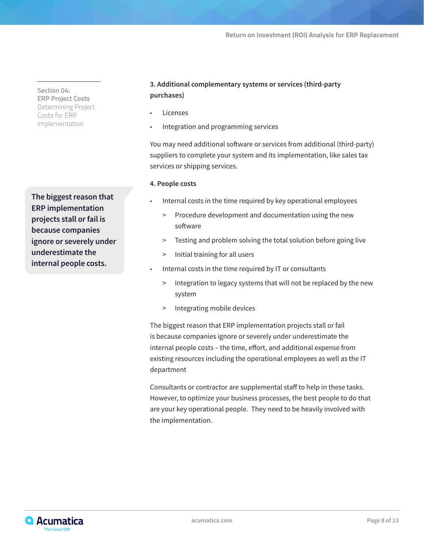**Section 04: ERP Project Costs** Determining Project Costs for ERP Implementation

**The biggest reason that ERP implementation projects stall or fail is because companies ignore or severely under underestimate the internal people costs.**

### **3. Additional complementary systems or services (third-party purchases)**

- **Licenses**
- Integration and programming services

You may need additional software or services from additional (third-party) suppliers to complete your system and its implementation, like sales tax services or shipping services.

#### **4. People costs**

- Internal costs in the time required by key operational employees
	- > Procedure development and documentation using the new software
	- > Testing and problem solving the total solution before going live
	- > Initial training for all users
- Internal costs in the time required by IT or consultants
	- > Integration to legacy systems that will not be replaced by the new system
	- > Integrating mobile devices

The biggest reason that ERP implementation projects stall or fail is because companies ignore or severely under underestimate the internal people costs – the time, effort, and additional expense from existing resources including the operational employees as well as the IT department

Consultants or contractor are supplemental staff to help in these tasks. However, to optimize your business processes, the best people to do that are your key operational people. They need to be heavily involved with the implementation.

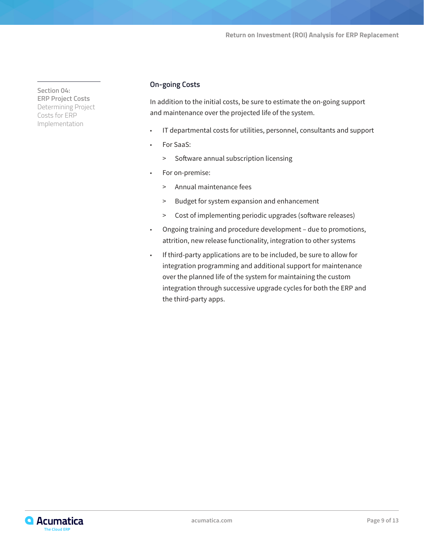**Section 04: ERP Project Costs** Determining Project Costs for ERP Implementation

#### **On-going Costs**

In addition to the initial costs, be sure to estimate the on-going support and maintenance over the projected life of the system.

- IT departmental costs for utilities, personnel, consultants and support
- For SaaS:
	- > Software annual subscription licensing
- For on-premise:
	- > Annual maintenance fees
	- > Budget for system expansion and enhancement
	- > Cost of implementing periodic upgrades (software releases)
- Ongoing training and procedure development due to promotions, attrition, new release functionality, integration to other systems
- If third-party applications are to be included, be sure to allow for integration programming and additional support for maintenance over the planned life of the system for maintaining the custom integration through successive upgrade cycles for both the ERP and the third-party apps.

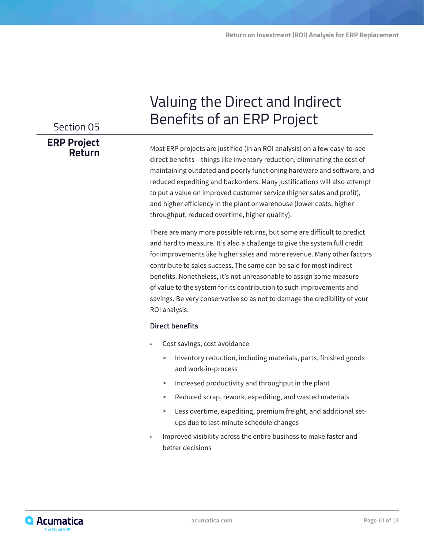## Section 05 **ERP Project Return**

## Valuing the Direct and Indirect Benefits of an ERP Project

Most ERP projects are justified (in an ROI analysis) on a few easy-to-see direct benefits – things like inventory reduction, eliminating the cost of maintaining outdated and poorly functioning hardware and software, and reduced expediting and backorders. Many justifications will also attempt to put a value on improved customer service (higher sales and profit), and higher efficiency in the plant or warehouse (lower costs, higher throughput, reduced overtime, higher quality).

There are many more possible returns, but some are difficult to predict and hard to measure. It's also a challenge to give the system full credit for improvements like higher sales and more revenue. Many other factors contribute to sales success. The same can be said for most indirect benefits. Nonetheless, it's not unreasonable to assign some measure of value to the system for its contribution to such improvements and savings. Be very conservative so as not to damage the credibility of your ROI analysis.

#### **Direct benefits**

- Cost savings, cost avoidance
	- > Inventory reduction, including materials, parts, finished goods and work-in-process
	- > Increased productivity and throughput in the plant
	- > Reduced scrap, rework, expediting, and wasted materials
	- > Less overtime, expediting, premium freight, and additional setups due to last-minute schedule changes
- Improved visibility across the entire business to make faster and better decisions

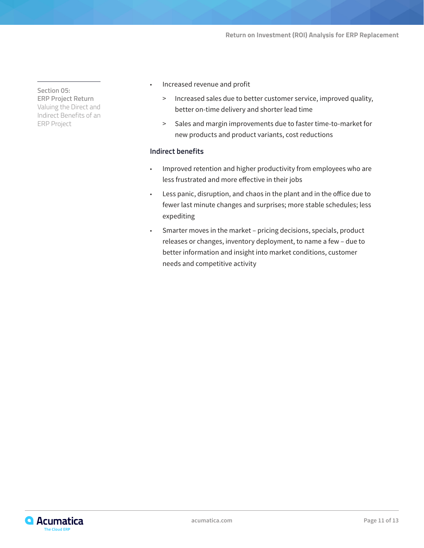**Section 05: ERP Project Return** Valuing the Direct and Indirect Benefits of an ERP Project

- Increased revenue and profit
	- > Increased sales due to better customer service, improved quality, better on-time delivery and shorter lead time
	- > Sales and margin improvements due to faster time-to-market for new products and product variants, cost reductions

#### **Indirect benefits**

- Improved retention and higher productivity from employees who are less frustrated and more effective in their jobs
- Less panic, disruption, and chaos in the plant and in the office due to fewer last minute changes and surprises; more stable schedules; less expediting
- Smarter moves in the market pricing decisions, specials, product releases or changes, inventory deployment, to name a few – due to better information and insight into market conditions, customer needs and competitive activity

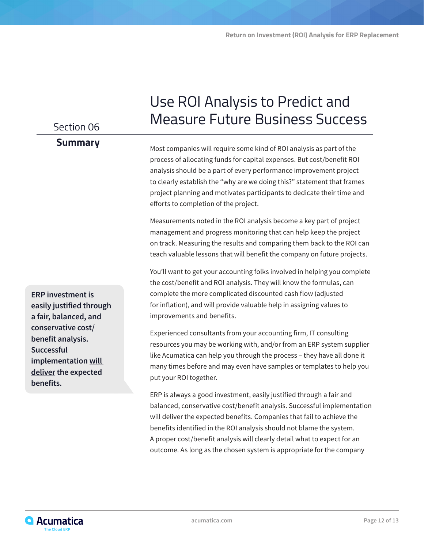## Section 06

### **Summary**

Most companies will require some kind of ROI analysis as part of the process of allocating funds for capital expenses. But cost/benefit ROI analysis should be a part of every performance improvement project to clearly establish the "why are we doing this?" statement that frames project planning and motivates participants to dedicate their time and efforts to completion of the project.

Use ROI Analysis to Predict and

Measure Future Business Success

Measurements noted in the ROI analysis become a key part of project management and progress monitoring that can help keep the project on track. Measuring the results and comparing them back to the ROI can teach valuable lessons that will benefit the company on future projects.

You'll want to get your accounting folks involved in helping you complete the cost/benefit and ROI analysis. They will know the formulas, can complete the more complicated discounted cash flow (adjusted for inflation), and will provide valuable help in assigning values to improvements and benefits.

Experienced consultants from your accounting firm, IT consulting resources you may be working with, and/or from an ERP system supplier like Acumatica can help you through the process – they have all done it many times before and may even have samples or templates to help you put your ROI together.

ERP is always a good investment, easily justified through a fair and balanced, conservative cost/benefit analysis. Successful implementation will deliver the expected benefits. Companies that fail to achieve the benefits identified in the ROI analysis should not blame the system. A proper cost/benefit analysis will clearly detail what to expect for an outcome. As long as the chosen system is appropriate for the company

**ERP investment is easily justified through a fair, balanced, and conservative cost/ benefit analysis. Successful implementation will deliver the expected benefits.**